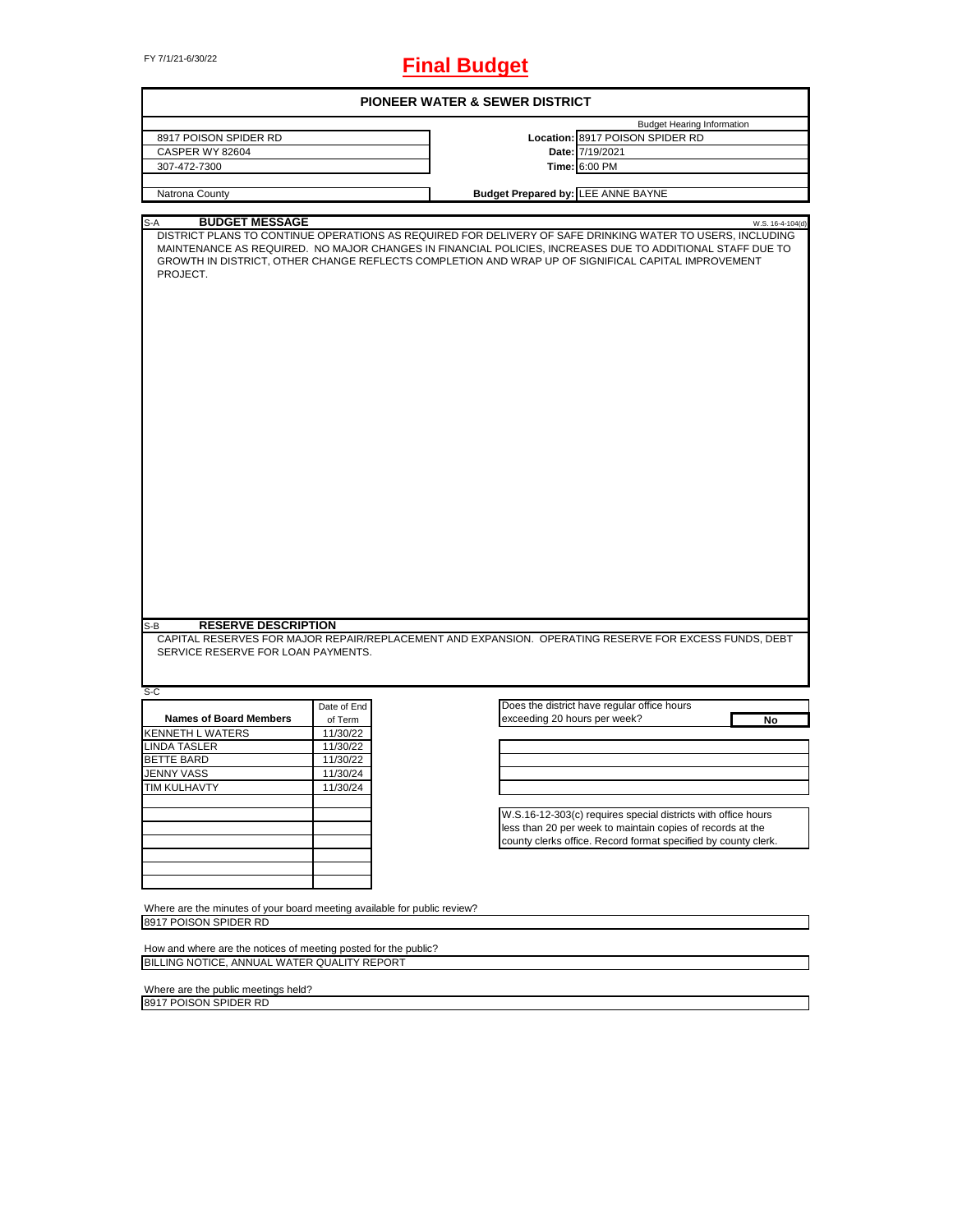# FY 7/1/21-6/30/22 **Final Budget**

| 8917 POISON SPIDER RD<br>CASPER WY 82604<br>307-472-7300<br>Natrona County<br><b>BUDGET MESSAGE</b><br>S-A<br>PROJECT. |             | <b>Budget Hearing Information</b><br>Location: 8917 POISON SPIDER RD<br>Date: 7/19/2021<br>Time: 6:00 PM<br><b>Budget Prepared by: LEE ANNE BAYNE</b><br>W.S. 16-4-104(d)<br>DISTRICT PLANS TO CONTINUE OPERATIONS AS REQUIRED FOR DELIVERY OF SAFE DRINKING WATER TO USERS, INCLUDING<br>MAINTENANCE AS REQUIRED. NO MAJOR CHANGES IN FINANCIAL POLICIES, INCREASES DUE TO ADDITIONAL STAFF DUE TO<br>GROWTH IN DISTRICT, OTHER CHANGE REFLECTS COMPLETION AND WRAP UP OF SIGNIFICAL CAPITAL IMPROVEMENT |
|------------------------------------------------------------------------------------------------------------------------|-------------|-----------------------------------------------------------------------------------------------------------------------------------------------------------------------------------------------------------------------------------------------------------------------------------------------------------------------------------------------------------------------------------------------------------------------------------------------------------------------------------------------------------|
|                                                                                                                        |             |                                                                                                                                                                                                                                                                                                                                                                                                                                                                                                           |
|                                                                                                                        |             |                                                                                                                                                                                                                                                                                                                                                                                                                                                                                                           |
|                                                                                                                        |             |                                                                                                                                                                                                                                                                                                                                                                                                                                                                                                           |
|                                                                                                                        |             |                                                                                                                                                                                                                                                                                                                                                                                                                                                                                                           |
|                                                                                                                        |             |                                                                                                                                                                                                                                                                                                                                                                                                                                                                                                           |
|                                                                                                                        |             |                                                                                                                                                                                                                                                                                                                                                                                                                                                                                                           |
|                                                                                                                        |             |                                                                                                                                                                                                                                                                                                                                                                                                                                                                                                           |
|                                                                                                                        |             |                                                                                                                                                                                                                                                                                                                                                                                                                                                                                                           |
| <b>RESERVE DESCRIPTION</b><br>S-B<br>SERVICE RESERVE FOR LOAN PAYMENTS.                                                |             | CAPITAL RESERVES FOR MAJOR REPAIR/REPLACEMENT AND EXPANSION. OPERATING RESERVE FOR EXCESS FUNDS, DEBT                                                                                                                                                                                                                                                                                                                                                                                                     |
| S-C                                                                                                                    |             |                                                                                                                                                                                                                                                                                                                                                                                                                                                                                                           |
|                                                                                                                        | Date of End | Does the district have regular office hours                                                                                                                                                                                                                                                                                                                                                                                                                                                               |
| <b>Names of Board Members</b>                                                                                          | of Term     | exceeding 20 hours per week?<br>No                                                                                                                                                                                                                                                                                                                                                                                                                                                                        |
| <b>KENNETH L WATERS</b>                                                                                                | 11/30/22    |                                                                                                                                                                                                                                                                                                                                                                                                                                                                                                           |
| <b>LINDA TASLER</b>                                                                                                    | 11/30/22    |                                                                                                                                                                                                                                                                                                                                                                                                                                                                                                           |
| <b>BETTE BARD</b>                                                                                                      | 11/30/22    |                                                                                                                                                                                                                                                                                                                                                                                                                                                                                                           |
| <b>JENNY VASS</b>                                                                                                      | 11/30/24    |                                                                                                                                                                                                                                                                                                                                                                                                                                                                                                           |
| TIM KULHAVTY                                                                                                           | 11/30/24    |                                                                                                                                                                                                                                                                                                                                                                                                                                                                                                           |
|                                                                                                                        |             |                                                                                                                                                                                                                                                                                                                                                                                                                                                                                                           |
|                                                                                                                        |             | W.S.16-12-303(c) requires special districts with office hours                                                                                                                                                                                                                                                                                                                                                                                                                                             |
|                                                                                                                        |             | less than 20 per week to maintain copies of records at the                                                                                                                                                                                                                                                                                                                                                                                                                                                |
|                                                                                                                        |             | county clerks office. Record format specified by county clerk.                                                                                                                                                                                                                                                                                                                                                                                                                                            |
|                                                                                                                        |             |                                                                                                                                                                                                                                                                                                                                                                                                                                                                                                           |
|                                                                                                                        |             |                                                                                                                                                                                                                                                                                                                                                                                                                                                                                                           |
|                                                                                                                        |             |                                                                                                                                                                                                                                                                                                                                                                                                                                                                                                           |
|                                                                                                                        |             |                                                                                                                                                                                                                                                                                                                                                                                                                                                                                                           |
|                                                                                                                        |             |                                                                                                                                                                                                                                                                                                                                                                                                                                                                                                           |
| Where are the minutes of your board meeting available for public review?                                               |             |                                                                                                                                                                                                                                                                                                                                                                                                                                                                                                           |
| 8917 POISON SPIDER RD                                                                                                  |             |                                                                                                                                                                                                                                                                                                                                                                                                                                                                                                           |
|                                                                                                                        |             |                                                                                                                                                                                                                                                                                                                                                                                                                                                                                                           |
| How and where are the notices of meeting posted for the public?<br>BILLING NOTICE, ANNUAL WATER QUALITY REPORT         |             |                                                                                                                                                                                                                                                                                                                                                                                                                                                                                                           |

Where are the public meetings held? 8917 POISON SPIDER RD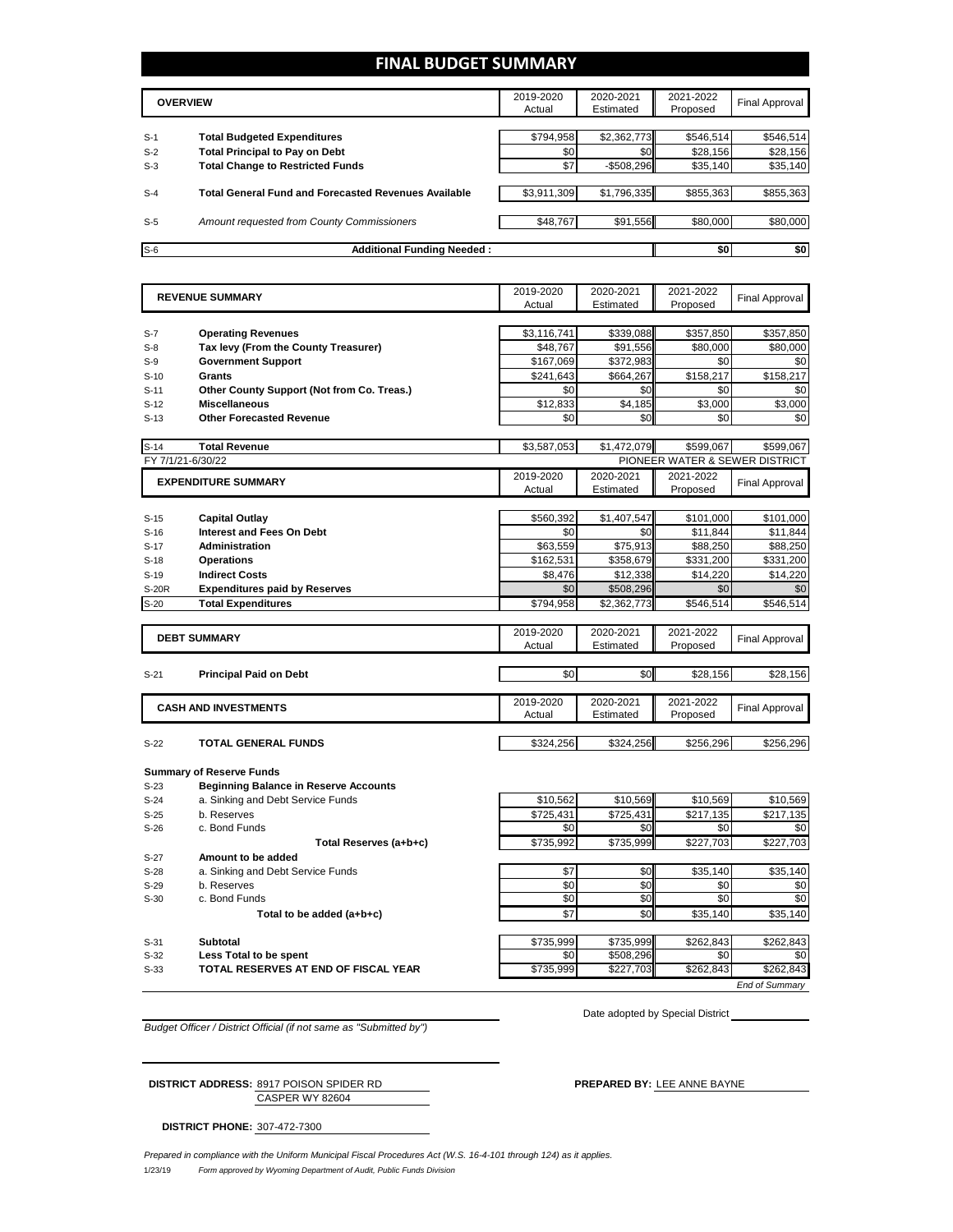## **FINAL BUDGET SUMMARY**

|       | <b>OVERVIEW</b>                                             | 2019-2020<br>Actual | 2020-2021<br>Estimated | 2021-2022<br>Proposed | Final Approval |
|-------|-------------------------------------------------------------|---------------------|------------------------|-----------------------|----------------|
|       |                                                             |                     |                        |                       |                |
| $S-1$ | <b>Total Budgeted Expenditures</b>                          | \$794,958           | \$2,362,773            | \$546,514             | \$546,514      |
| $S-2$ | <b>Total Principal to Pay on Debt</b>                       | \$0                 | \$0                    | \$28,156              | \$28,156       |
| $S-3$ | <b>Total Change to Restricted Funds</b>                     | \$7                 | $-$508,296$            | \$35,140              | \$35,140       |
|       |                                                             |                     |                        |                       |                |
| $S-4$ | <b>Total General Fund and Forecasted Revenues Available</b> | \$3.911.309         | \$1,796,335            | \$855.363             | \$855,363      |
|       |                                                             |                     |                        |                       |                |
| $S-5$ | Amount requested from County Commissioners                  | \$48,767            | \$91,556               | \$80,000              | \$80,000       |
|       |                                                             |                     |                        |                       |                |
| $S-6$ | <b>Additional Funding Needed:</b>                           |                     |                        | \$0                   | \$0            |

|                  | <b>REVENUE SUMMARY</b>                       | 2019-2020        | 2020-2021              | 2021-2022                      | <b>Final Approval</b> |
|------------------|----------------------------------------------|------------------|------------------------|--------------------------------|-----------------------|
|                  |                                              | Actual           | Estimated              | Proposed                       |                       |
|                  |                                              |                  |                        |                                |                       |
| $S-7$            | <b>Operating Revenues</b>                    | \$3,116,741      | \$339,088              | \$357,850                      | \$357,850             |
| $S-8$            | Tax levy (From the County Treasurer)         | \$48.767         | \$91.556               | \$80,000                       | \$80,000              |
| $S-9$            | <b>Government Support</b>                    | \$167,069        | \$372,983              | \$0                            | \$0                   |
| $S-10$           | Grants                                       | \$241,643        | \$664,267              | \$158,217                      | \$158,217             |
| $S-11$           | Other County Support (Not from Co. Treas.)   | \$0              | \$0                    | \$0                            | \$0                   |
| $S-12$           | <b>Miscellaneous</b>                         | \$12,833         | \$4,185                | \$3,000                        | \$3,000               |
| $S-13$           | <b>Other Forecasted Revenue</b>              | \$0              | \$0                    | \$0                            | \$0                   |
|                  |                                              |                  |                        |                                |                       |
| $S-14$           | <b>Total Revenue</b>                         | \$3,587,053      | \$1,472,079            | \$599.067                      | \$599,067             |
|                  | FY 7/1/21-6/30/22                            |                  |                        | PIONEER WATER & SEWER DISTRICT |                       |
|                  | <b>EXPENDITURE SUMMARY</b>                   | 2019-2020        | 2020-2021              | 2021-2022                      | <b>Final Approval</b> |
|                  |                                              | Actual           | Estimated              | Proposed                       |                       |
|                  |                                              |                  |                        |                                |                       |
| $S-15$           | <b>Capital Outlay</b>                        | \$560,392        | \$1,407,547            | \$101,000                      | \$101,000             |
| $S-16$           | <b>Interest and Fees On Debt</b>             | \$0              | \$0                    | \$11,844                       | \$11,844              |
| $S-17$           | <b>Administration</b>                        | \$63,559         | \$75,913               | \$88,250                       | \$88,250              |
| $S-18$           | <b>Operations</b>                            | \$162,531        | \$358,679              | \$331,200                      | \$331,200             |
| $S-19$           | <b>Indirect Costs</b>                        | \$8.476          | \$12.338               | \$14,220                       | \$14.220              |
| S-20R            | <b>Expenditures paid by Reserves</b>         | \$0              | \$508,296              | \$0                            | \$0                   |
| $S-20$           | <b>Total Expenditures</b>                    | \$794,958        | \$2,362,773            | \$546,514                      | \$546,514             |
|                  |                                              |                  |                        |                                |                       |
|                  | <b>DEBT SUMMARY</b>                          | 2019-2020        | 2020-2021              | 2021-2022                      | <b>Final Approval</b> |
|                  |                                              | Actual           | Estimated              | Proposed                       |                       |
|                  |                                              |                  |                        |                                |                       |
| $S-21$           | <b>Principal Paid on Debt</b>                | \$0              | \$0                    | \$28,156                       | \$28,156              |
|                  |                                              |                  |                        |                                |                       |
|                  | <b>CASH AND INVESTMENTS</b>                  | 2019-2020        | 2020-2021              | 2021-2022                      | <b>Final Approval</b> |
|                  |                                              | Actual           | Estimated              | Proposed                       |                       |
|                  |                                              |                  |                        |                                |                       |
| $S-22$           | <b>TOTAL GENERAL FUNDS</b>                   | \$324,256        | \$324,256              | \$256,296                      | \$256,296             |
|                  |                                              |                  |                        |                                |                       |
|                  | <b>Summary of Reserve Funds</b>              |                  |                        |                                |                       |
| $S-23$           | <b>Beginning Balance in Reserve Accounts</b> |                  |                        |                                |                       |
| $S-24$           | a. Sinking and Debt Service Funds            | \$10,562         | \$10,569               | \$10.569                       | \$10,569              |
| $S-25$           | b. Reserves                                  | \$725.431        | \$725,431              | \$217.135                      | \$217.135             |
| $S-26$           | c. Bond Funds                                | \$0              | \$0                    | \$0                            | \$0                   |
|                  | Total Reserves (a+b+c)                       | \$735,992        | \$735,999              | \$227,703                      | \$227,703             |
| $S-27$           | Amount to be added                           |                  |                        |                                |                       |
| $S-28$           | a. Sinking and Debt Service Funds            | \$7              | \$0                    | \$35,140                       | \$35,140              |
| $S-29$           | b. Reserves                                  | \$0              | \$0                    | \$0                            | \$0                   |
| $S-30$           | c. Bond Funds                                | \$0              | \$0                    | \$0                            | \$0                   |
|                  |                                              |                  | \$0                    | \$35,140                       | \$35,140              |
|                  | Total to be added (a+b+c)                    | \$7              |                        |                                |                       |
|                  |                                              |                  |                        |                                |                       |
| $S-31$<br>$S-32$ | Subtotal<br>Less Total to be spent           | \$735,999<br>\$0 | \$735,999<br>\$508,296 | \$262,843<br>\$0               | \$262,843<br>\$0      |

S-33 **TOTAL RESERVES AT END OF FISCAL YEAR** \$735,999 \$227,703 \$262,843 \$262,843

Date adopted by Special District

*End of Summary*

*Budget Officer / District Official (if not same as "Submitted by")*

CASPER WY 82604 **DISTRICT ADDRESS:** 8917 POISON SPIDER RD **PREPARED BY:** LEE ANNE BAYNE

**DISTRICT PHONE:** 307-472-7300

1/23/19 *Form approved by Wyoming Department of Audit, Public Funds Division Prepared in compliance with the Uniform Municipal Fiscal Procedures Act (W.S. 16-4-101 through 124) as it applies.*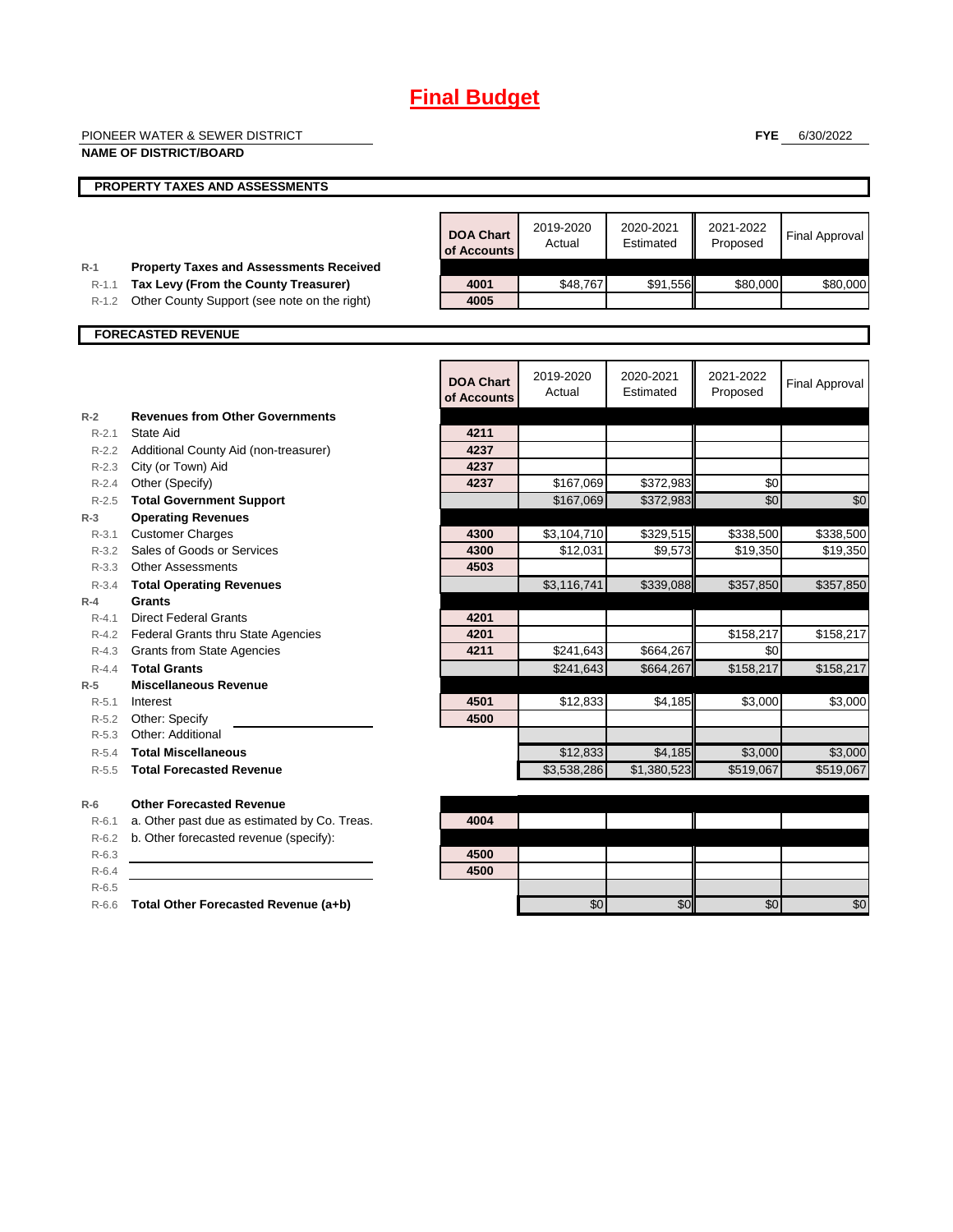# **Final Budget**

|           | PIONEER WATER & SEWER DISTRICT                 |                                 |             |             | <b>FYE</b> | 6/30/2022             |
|-----------|------------------------------------------------|---------------------------------|-------------|-------------|------------|-----------------------|
|           | <b>NAME OF DISTRICT/BOARD</b>                  |                                 |             |             |            |                       |
|           |                                                |                                 |             |             |            |                       |
|           | PROPERTY TAXES AND ASSESSMENTS                 |                                 |             |             |            |                       |
|           |                                                |                                 |             |             |            |                       |
|           |                                                |                                 | 2019-2020   | 2020-2021   | 2021-2022  |                       |
|           |                                                | <b>DOA Chart</b><br>of Accounts | Actual      | Estimated   | Proposed   | <b>Final Approval</b> |
| $R-1$     | <b>Property Taxes and Assessments Received</b> |                                 |             |             |            |                       |
| $R-1.1$   | Tax Levy (From the County Treasurer)           | 4001                            | \$48,767    | \$91,556    | \$80,000   | \$80,000              |
| R-1.2     | Other County Support (see note on the right)   | 4005                            |             |             |            |                       |
|           |                                                |                                 |             |             |            |                       |
|           | <b>FORECASTED REVENUE</b>                      |                                 |             |             |            |                       |
|           |                                                |                                 |             |             |            |                       |
|           |                                                |                                 | 2019-2020   | 2020-2021   | 2021-2022  |                       |
|           |                                                | <b>DOA Chart</b>                | Actual      | Estimated   | Proposed   | <b>Final Approval</b> |
|           |                                                | of Accounts                     |             |             |            |                       |
| $R-2$     | <b>Revenues from Other Governments</b>         |                                 |             |             |            |                       |
| $R - 2.1$ | State Aid                                      | 4211                            |             |             |            |                       |
|           | R-2.2 Additional County Aid (non-treasurer)    | 4237                            |             |             |            |                       |
|           | R-2.3 City (or Town) Aid                       | 4237                            |             |             |            |                       |
|           | R-2.4 Other (Specify)                          | 4237                            | \$167,069   | \$372,983   | \$0        |                       |
| $R - 2.5$ | <b>Total Government Support</b>                |                                 | \$167,069   | \$372,983   | \$0        | \$0                   |
| $R-3$     | <b>Operating Revenues</b>                      |                                 |             |             |            |                       |
| $R - 3.1$ | <b>Customer Charges</b>                        | 4300                            | \$3,104,710 | \$329,515   | \$338,500  | \$338,500             |
| $R - 3.2$ | Sales of Goods or Services                     | 4300                            | \$12,031    | \$9,573     | \$19,350   | \$19,350              |
|           | R-3.3 Other Assessments                        | 4503                            |             |             |            |                       |
| $R - 3.4$ | <b>Total Operating Revenues</b>                |                                 | \$3,116,741 | \$339,088   | \$357,850  | \$357,850             |
| $R-4$     | Grants                                         |                                 |             |             |            |                       |
| R-4.1     | <b>Direct Federal Grants</b>                   | 4201                            |             |             |            |                       |
|           | R-4.2 Federal Grants thru State Agencies       | 4201                            |             |             | \$158,217  | \$158,217             |
|           | R-4.3 Grants from State Agencies               | 4211                            | \$241,643   | \$664,267   | \$0        |                       |
| $R - 4.4$ | <b>Total Grants</b>                            |                                 | \$241,643   | \$664,267   | \$158,217  | \$158,217             |
| $R-5$     | <b>Miscellaneous Revenue</b>                   |                                 |             |             |            |                       |
| $R - 5.1$ | Interest                                       | 4501<br>4500                    | \$12,833    | \$4,185     | \$3,000    | \$3,000               |
| $R - 5.3$ | R-5.2 Other: Specify<br>Other: Additional      |                                 |             |             |            |                       |
| $R - 5.4$ | <b>Total Miscellaneous</b>                     |                                 | \$12,833    | \$4,185     | \$3,000    | \$3,000               |
| $R - 5.5$ | <b>Total Forecasted Revenue</b>                |                                 | \$3,538,286 | \$1,380,523 | \$519,067  | \$519.067             |
|           |                                                |                                 |             |             |            |                       |
| $R-6$     | <b>Other Forecasted Revenue</b>                |                                 |             |             |            |                       |
| $R-6.1$   | a. Other past due as estimated by Co. Treas.   | 4004                            |             |             |            |                       |
| $R-6.2$   | b. Other forecasted revenue (specify):         |                                 |             |             |            |                       |
| $R-6.3$   |                                                | 4500                            |             |             |            |                       |
| $R-6.4$   |                                                | 4500                            |             |             |            |                       |
| $R-6.5$   |                                                |                                 |             |             |            |                       |
| $R-6.6$   | Total Other Forecasted Revenue (a+b)           |                                 | \$0         | \$0         | \$0        | \$0                   |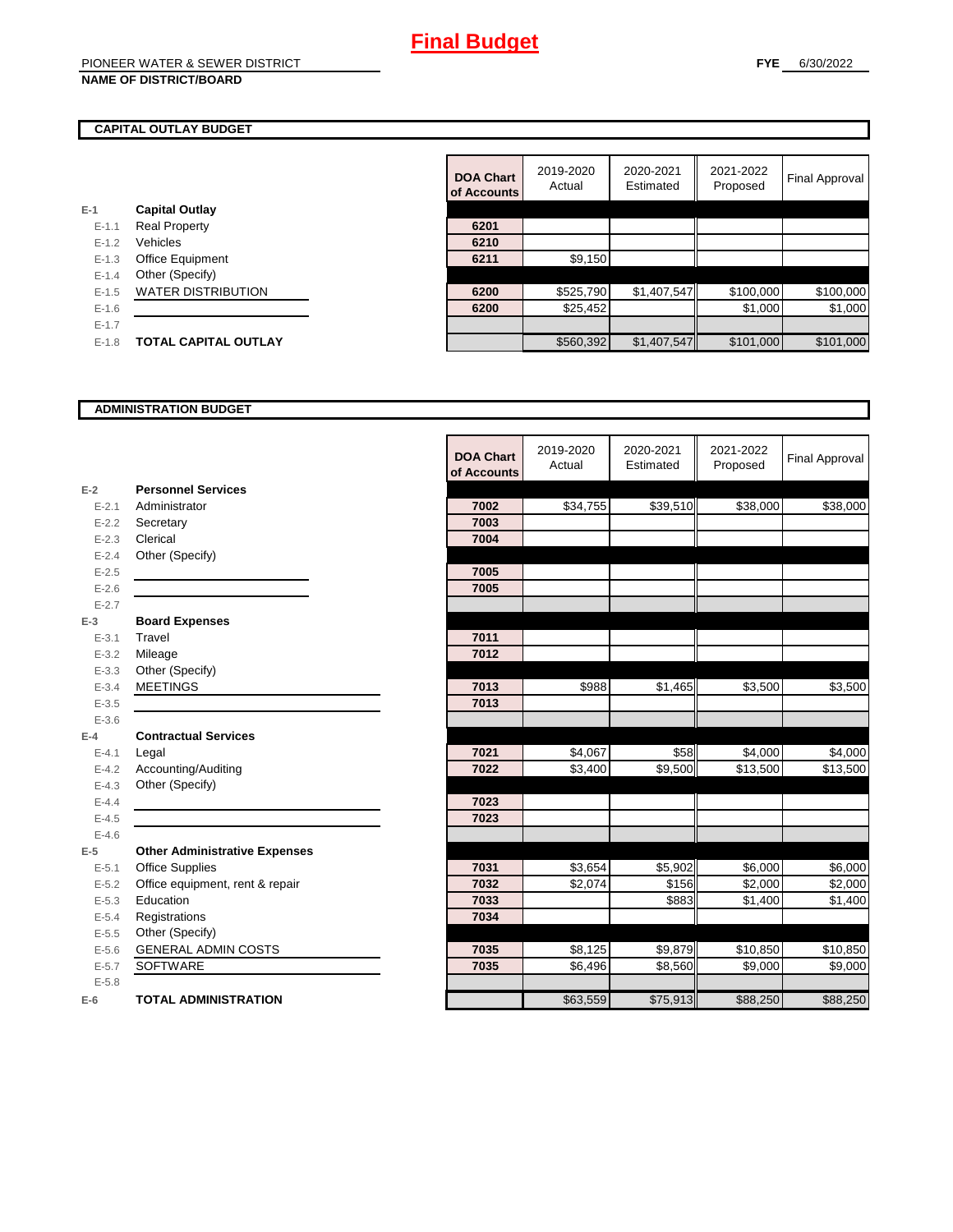### **CAPITAL OUTLAY BUDGET**

| $E-1$     | <b>Capital Outlay</b>       |      |           |
|-----------|-----------------------------|------|-----------|
| $E - 1.1$ | <b>Real Property</b>        | 6201 |           |
| $E - 1.2$ | Vehicles                    | 6210 |           |
| $E - 1.3$ | Office Equipment            | 6211 | \$9,150   |
| $E - 1.4$ | Other (Specify)             |      |           |
| $E-1.5$   | <b>WATER DISTRIBUTION</b>   | 6200 | \$525,790 |
| $E-1.6$   |                             | 6200 | \$25.452  |
| $E - 1.7$ |                             |      |           |
| $E - 1.8$ | <b>TOTAL CAPITAL OUTLAY</b> |      | \$560.392 |
|           |                             |      |           |

|           |                             | <b>DOA Chart</b><br>of Accounts | 2019-2020<br>Actual | 2020-2021<br>Estimated | 2021-2022<br>Proposed | <b>Final Approval</b> |
|-----------|-----------------------------|---------------------------------|---------------------|------------------------|-----------------------|-----------------------|
|           | <b>Capital Outlay</b>       |                                 |                     |                        |                       |                       |
| $E - 1.1$ | <b>Real Property</b>        | 6201                            |                     |                        |                       |                       |
| $E - 1.2$ | Vehicles                    | 6210                            |                     |                        |                       |                       |
| $E - 1.3$ | Office Equipment            | 6211                            | \$9,150             |                        |                       |                       |
| $E - 1.4$ | Other (Specify)             |                                 |                     |                        |                       |                       |
| $E-1.5$   | <b>WATER DISTRIBUTION</b>   | 6200                            | \$525,790           | \$1,407,547            | \$100,000             | \$100,000             |
| $E-1.6$   |                             | 6200                            | \$25,452            |                        | \$1,000               | \$1,000               |
| $E - 1.7$ |                             |                                 |                     |                        |                       |                       |
| $E-1.8$   | <b>TOTAL CAPITAL OUTLAY</b> |                                 | \$560,392           | \$1,407,547            | \$101,000             | \$101,000             |
|           |                             |                                 |                     |                        |                       |                       |

#### **ADMINISTRATION BUDGET**

|           |                                      | <b>DOA Chart</b><br>of Accounts | 2019-2020<br>Actual | 2020-2021<br>Estimated | 2021-2022<br>Proposed | <b>Final Approval</b> |
|-----------|--------------------------------------|---------------------------------|---------------------|------------------------|-----------------------|-----------------------|
| $E-2$     | <b>Personnel Services</b>            |                                 |                     |                        |                       |                       |
| $E - 2.1$ | Administrator                        | 7002                            | \$34,755            | \$39,510               | \$38,000              | \$38,000              |
| $E - 2.2$ | Secretary                            | 7003                            |                     |                        |                       |                       |
| $E - 2.3$ | Clerical                             | 7004                            |                     |                        |                       |                       |
| $E - 2.4$ | Other (Specify)                      |                                 |                     |                        |                       |                       |
| $E - 2.5$ |                                      | 7005                            |                     |                        |                       |                       |
| $E - 2.6$ |                                      | 7005                            |                     |                        |                       |                       |
| $E - 2.7$ |                                      |                                 |                     |                        |                       |                       |
| $E-3$     | <b>Board Expenses</b>                |                                 |                     |                        |                       |                       |
| $E - 3.1$ | Travel                               | 7011                            |                     |                        |                       |                       |
| $E - 3.2$ | Mileage                              | 7012                            |                     |                        |                       |                       |
| $E - 3.3$ | Other (Specify)                      |                                 |                     |                        |                       |                       |
| $E - 3.4$ | <b>MEETINGS</b>                      | 7013                            | \$988               | \$1,465                | \$3,500               | \$3,500               |
| $E - 3.5$ |                                      | 7013                            |                     |                        |                       |                       |
| $E - 3.6$ |                                      |                                 |                     |                        |                       |                       |
| $E-4$     | <b>Contractual Services</b>          |                                 |                     |                        |                       |                       |
| $E - 4.1$ | Legal                                | 7021                            | \$4,067             | \$58                   | \$4,000               | \$4,000               |
| $E-4.2$   | Accounting/Auditing                  | 7022                            | \$3,400             | \$9,500                | \$13,500              | \$13,500              |
| $E - 4.3$ | Other (Specify)                      |                                 |                     |                        |                       |                       |
| $E - 4.4$ |                                      | 7023                            |                     |                        |                       |                       |
| $E-4.5$   |                                      | 7023                            |                     |                        |                       |                       |
| $E-4.6$   |                                      |                                 |                     |                        |                       |                       |
| $E-5$     | <b>Other Administrative Expenses</b> |                                 |                     |                        |                       |                       |
| $E - 5.1$ | <b>Office Supplies</b>               | 7031                            | \$3,654             | \$5,902                | \$6,000               | \$6,000               |
| $E - 5.2$ | Office equipment, rent & repair      | 7032                            | \$2,074             | \$156                  | \$2,000               | \$2,000               |
| $E-5.3$   | Education                            | 7033                            |                     | \$883                  | \$1,400               | \$1,400               |
| $E - 5.4$ | Registrations                        | 7034                            |                     |                        |                       |                       |
| $E - 5.5$ | Other (Specify)                      |                                 |                     |                        |                       |                       |
| $E - 5.6$ | <b>GENERAL ADMIN COSTS</b>           | 7035                            | \$8,125             | \$9,879                | \$10,850              | \$10,850              |
| $E - 5.7$ | <b>SOFTWARE</b>                      | 7035                            | \$6,496             | \$8,560                | \$9,000               | \$9,000               |
| $E - 5.8$ |                                      |                                 |                     |                        |                       |                       |
| $E-6$     | <b>TOTAL ADMINISTRATION</b>          |                                 | \$63,559            | \$75,913               | \$88,250              | \$88,250              |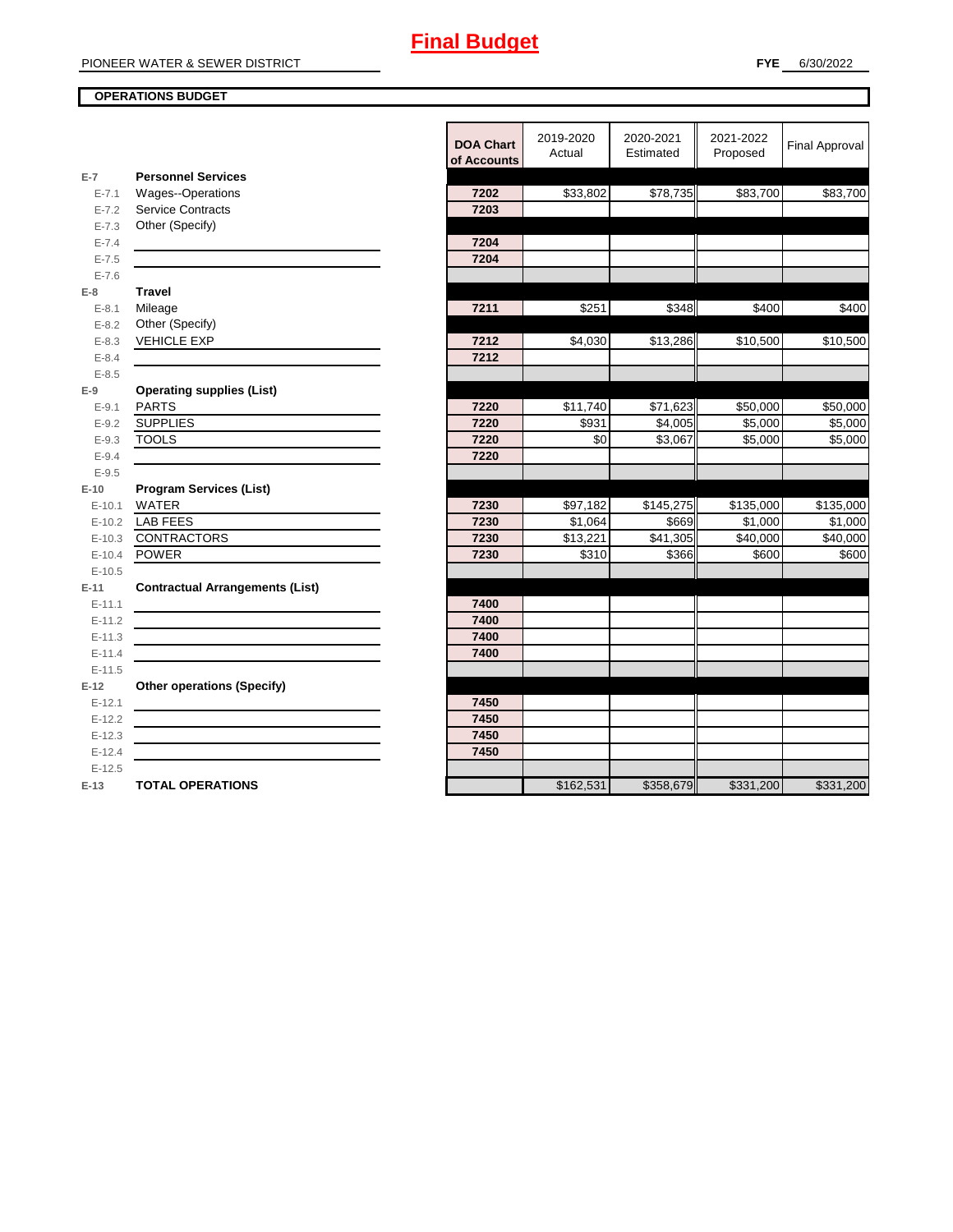## **OPERATIONS BUDGET**

|                        |                                        | <b>DOA Chart</b><br>of Accounts | 2019-2020<br>Actual | 2020-2021<br>Estimated | 2021-2022<br>Proposed | <b>Final Approval</b> |
|------------------------|----------------------------------------|---------------------------------|---------------------|------------------------|-----------------------|-----------------------|
| $E-7$                  | <b>Personnel Services</b>              |                                 |                     |                        |                       |                       |
| $E - 7.1$              | <b>Wages--Operations</b>               | 7202                            | \$33,802            | \$78,735               | \$83,700              | \$83,700              |
| $E - 7.2$              | Service Contracts                      | 7203                            |                     |                        |                       |                       |
| $E - 7.3$              | Other (Specify)                        |                                 |                     |                        |                       |                       |
| $E - 7.4$              |                                        | 7204                            |                     |                        |                       |                       |
| $E - 7.5$              |                                        | 7204                            |                     |                        |                       |                       |
| $E - 7.6$              |                                        |                                 |                     |                        |                       |                       |
| $E-8$                  | <b>Travel</b>                          |                                 |                     |                        |                       |                       |
| $E - 8.1$              | Mileage                                | 7211                            | \$251               | \$348                  | \$400                 | \$400                 |
| $E - 8.2$<br>$E - 8.3$ | Other (Specify)<br><b>VEHICLE EXP</b>  | 7212                            | \$4,030             | \$13,286               | \$10,500              | \$10,500              |
| $E - 8.4$              |                                        | 7212                            |                     |                        |                       |                       |
| $E - 8.5$              |                                        |                                 |                     |                        |                       |                       |
| $E-9$                  | <b>Operating supplies (List)</b>       |                                 |                     |                        |                       |                       |
| $E-9.1$                | <b>PARTS</b>                           | 7220                            | \$11,740            | \$71,623               | \$50,000              | \$50,000              |
| $E - 9.2$              | <b>SUPPLIES</b>                        | 7220                            | \$931               | \$4,005                | \$5,000               | \$5,000               |
| $E-9.3$                | <b>TOOLS</b>                           | 7220                            | \$0                 | \$3,067                | \$5,000               | \$5,000               |
| $E - 9.4$              |                                        | 7220                            |                     |                        |                       |                       |
| $E - 9.5$              |                                        |                                 |                     |                        |                       |                       |
| $E-10$                 | <b>Program Services (List)</b>         |                                 |                     |                        |                       |                       |
| $E-10.1$               | <b>WATER</b>                           | 7230                            | \$97,182            | \$145,275              | \$135,000             | \$135,000             |
| $E-10.2$               | <b>LAB FEES</b>                        | 7230                            | \$1,064             | \$669                  | \$1,000               | \$1,000               |
| $E-10.3$               | <b>CONTRACTORS</b>                     | 7230                            | \$13,221            | \$41,305               | \$40,000              | \$40,000              |
| $E-10.4$               | <b>POWER</b>                           | 7230                            | \$310               | \$366                  | \$600                 | \$600                 |
| $E-10.5$               |                                        |                                 |                     |                        |                       |                       |
| $E-11$                 | <b>Contractual Arrangements (List)</b> |                                 |                     |                        |                       |                       |
| $E-11.1$               |                                        | 7400                            |                     |                        |                       |                       |
| $E-11.2$               |                                        | 7400                            |                     |                        |                       |                       |
| $E-11.3$               |                                        | 7400                            |                     |                        |                       |                       |
| $E-11.4$               |                                        | 7400                            |                     |                        |                       |                       |
| $E-11.5$               |                                        |                                 |                     |                        |                       |                       |
| $E-12$                 | <b>Other operations (Specify)</b>      |                                 |                     |                        |                       |                       |
| $E-12.1$               |                                        | 7450                            |                     |                        |                       |                       |
| $E-12.2$               |                                        | 7450                            |                     |                        |                       |                       |
| $E-12.3$               |                                        | 7450                            |                     |                        |                       |                       |
| $E-12.4$               |                                        | 7450                            |                     |                        |                       |                       |
| $E-12.5$               |                                        |                                 |                     |                        |                       |                       |
| $E-13$                 | <b>TOTAL OPERATIONS</b>                |                                 | \$162,531           | \$358,679              | \$331,200             | \$331,200             |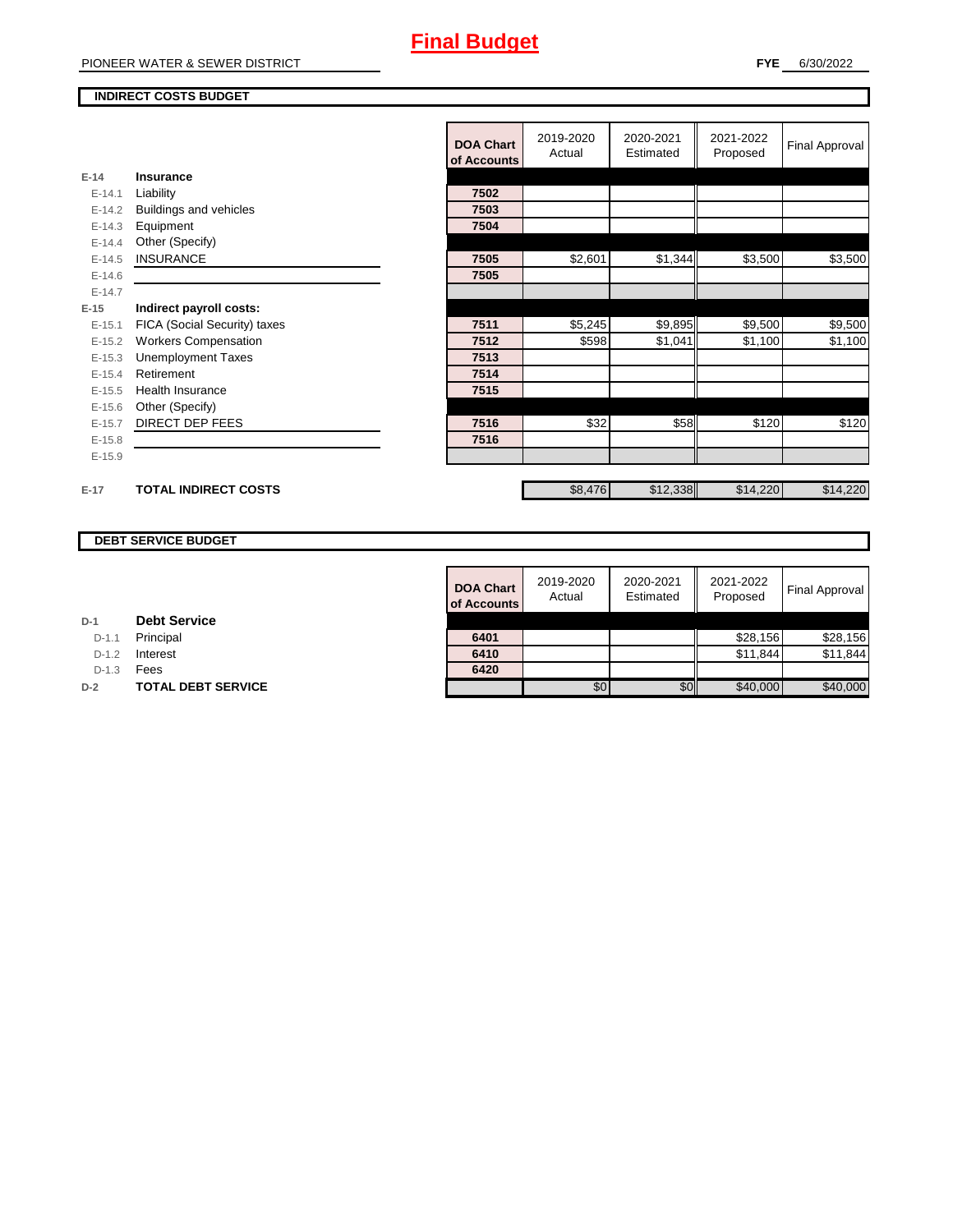#### **INDIRECT COSTS BUDGET**

|          |                              | <b>DOA Chart</b><br>of Accounts | 2019-2020<br>Actual | 2020-2021<br>Estimated | 2021-2022<br>Proposed | <b>Final Approval</b> |
|----------|------------------------------|---------------------------------|---------------------|------------------------|-----------------------|-----------------------|
| $E-14$   | Insurance                    |                                 |                     |                        |                       |                       |
| $E-14.1$ | Liability                    | 7502                            |                     |                        |                       |                       |
| $E-14.2$ | Buildings and vehicles       | 7503                            |                     |                        |                       |                       |
| $E-14.3$ | Equipment                    | 7504                            |                     |                        |                       |                       |
| $E-14.4$ | Other (Specify)              |                                 |                     |                        |                       |                       |
| $E-14.5$ | <b>INSURANCE</b>             | 7505                            | \$2,601             | \$1,344                | \$3,500               | \$3,500               |
| $E-14.6$ |                              | 7505                            |                     |                        |                       |                       |
| $E-14.7$ |                              |                                 |                     |                        |                       |                       |
| $E-15$   | Indirect payroll costs:      |                                 |                     |                        |                       |                       |
| $E-15.1$ | FICA (Social Security) taxes | 7511                            | \$5,245             | \$9,895                | \$9,500               | \$9,500               |
| $E-15.2$ | <b>Workers Compensation</b>  | 7512                            | \$598               | \$1,041                | \$1,100               | \$1,100               |
| $E-15.3$ | <b>Unemployment Taxes</b>    | 7513                            |                     |                        |                       |                       |
| $E-15.4$ | Retirement                   | 7514                            |                     |                        |                       |                       |
| $E-15.5$ | <b>Health Insurance</b>      | 7515                            |                     |                        |                       |                       |
| $E-15.6$ | Other (Specify)              |                                 |                     |                        |                       |                       |
| $E-15.7$ | <b>DIRECT DEP FEES</b>       | 7516                            | \$32                | \$58                   | \$120                 | \$120                 |
| $E-15.8$ |                              | 7516                            |                     |                        |                       |                       |
| $E-15.9$ |                              |                                 |                     |                        |                       |                       |
|          |                              |                                 |                     |                        |                       |                       |
| $E-17$   | <b>TOTAL INDIRECT COSTS</b>  |                                 | \$8,476             | \$12,338               | \$14,220              | \$14,220              |

## **DEBT SERVICE BUDGET**

| <b>DOA Chart</b><br>of Accounts | 2019-2020<br>Actual | 2020-2021<br>Estimated | 2021-2022<br>Proposed | <b>Final Approval</b> |
|---------------------------------|---------------------|------------------------|-----------------------|-----------------------|
|                                 |                     |                        |                       |                       |
| 6401                            |                     |                        | \$28,156              | \$28,156              |
| 6410                            |                     |                        | \$11,844              | \$11,844              |
| 6420                            |                     |                        |                       |                       |
|                                 | \$0                 | \$C                    | \$40,000              | \$40,000              |

# **D-1 Debt Service**

D-1.1 **Principal** 

**D-1.2 Interest** 

D-1.3 **Fees** 

**D-2 TOTAL DEBT SERVICE**